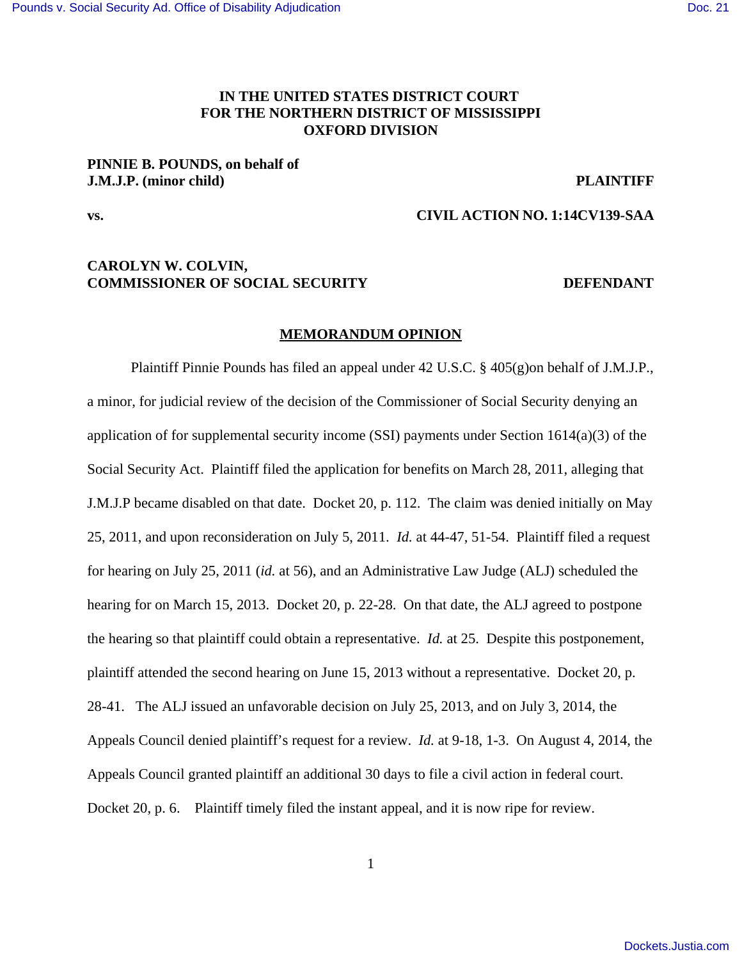# **IN THE UNITED STATES DISTRICT COURT FOR THE NORTHERN DISTRICT OF MISSISSIPPI OXFORD DIVISION**

# **PINNIE B. POUNDS, on behalf of J.M.J.P. (minor child) PLAINTIFF**

## **vs. CIVIL ACTION NO. 1:14CV139-SAA**

## **CAROLYN W. COLVIN, COMMISSIONER OF SOCIAL SECURITY DEFENDANT**

#### **MEMORANDUM OPINION**

Plaintiff Pinnie Pounds has filed an appeal under 42 U.S.C. § 405(g)on behalf of J.M.J.P., a minor, for judicial review of the decision of the Commissioner of Social Security denying an application of for supplemental security income (SSI) payments under Section  $1614(a)(3)$  of the Social Security Act. Plaintiff filed the application for benefits on March 28, 2011, alleging that J.M.J.P became disabled on that date. Docket 20, p. 112. The claim was denied initially on May 25, 2011, and upon reconsideration on July 5, 2011. *Id.* at 44-47, 51-54. Plaintiff filed a request for hearing on July 25, 2011 (*id.* at 56), and an Administrative Law Judge (ALJ) scheduled the hearing for on March 15, 2013. Docket 20, p. 22-28. On that date, the ALJ agreed to postpone the hearing so that plaintiff could obtain a representative. *Id.* at 25. Despite this postponement, plaintiff attended the second hearing on June 15, 2013 without a representative. Docket 20, p. 28-41. The ALJ issued an unfavorable decision on July 25, 2013, and on July 3, 2014, the Appeals Council denied plaintiff's request for a review. *Id.* at 9-18, 1-3. On August 4, 2014, the Appeals Council granted plaintiff an additional 30 days to file a civil action in federal court. Docket 20, p. 6. Plaintiff timely filed the instant appeal, and it is now ripe for review.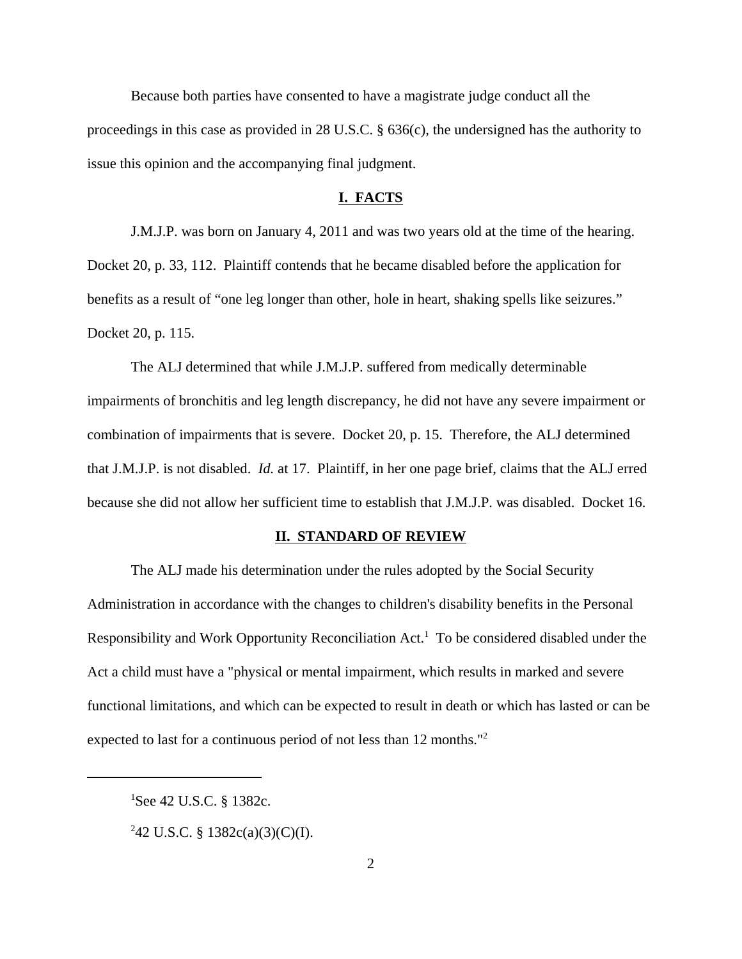Because both parties have consented to have a magistrate judge conduct all the proceedings in this case as provided in 28 U.S.C. § 636(c), the undersigned has the authority to issue this opinion and the accompanying final judgment.

#### **I. FACTS**

J.M.J.P. was born on January 4, 2011 and was two years old at the time of the hearing. Docket 20, p. 33, 112. Plaintiff contends that he became disabled before the application for benefits as a result of "one leg longer than other, hole in heart, shaking spells like seizures." Docket 20, p. 115.

The ALJ determined that while J.M.J.P. suffered from medically determinable impairments of bronchitis and leg length discrepancy, he did not have any severe impairment or combination of impairments that is severe. Docket 20, p. 15. Therefore, the ALJ determined that J.M.J.P. is not disabled. *Id.* at 17. Plaintiff, in her one page brief, claims that the ALJ erred because she did not allow her sufficient time to establish that J.M.J.P. was disabled. Docket 16.

#### **II. STANDARD OF REVIEW**

The ALJ made his determination under the rules adopted by the Social Security Administration in accordance with the changes to children's disability benefits in the Personal Responsibility and Work Opportunity Reconciliation Act.<sup>1</sup> To be considered disabled under the Act a child must have a "physical or mental impairment, which results in marked and severe functional limitations, and which can be expected to result in death or which has lasted or can be expected to last for a continuous period of not less than 12 months."<sup>2</sup>

 ${}^{1}$ See 42 U.S.C. § 1382c.

<sup>&</sup>lt;sup>2</sup>42 U.S.C. § 1382c(a)(3)(C)(I).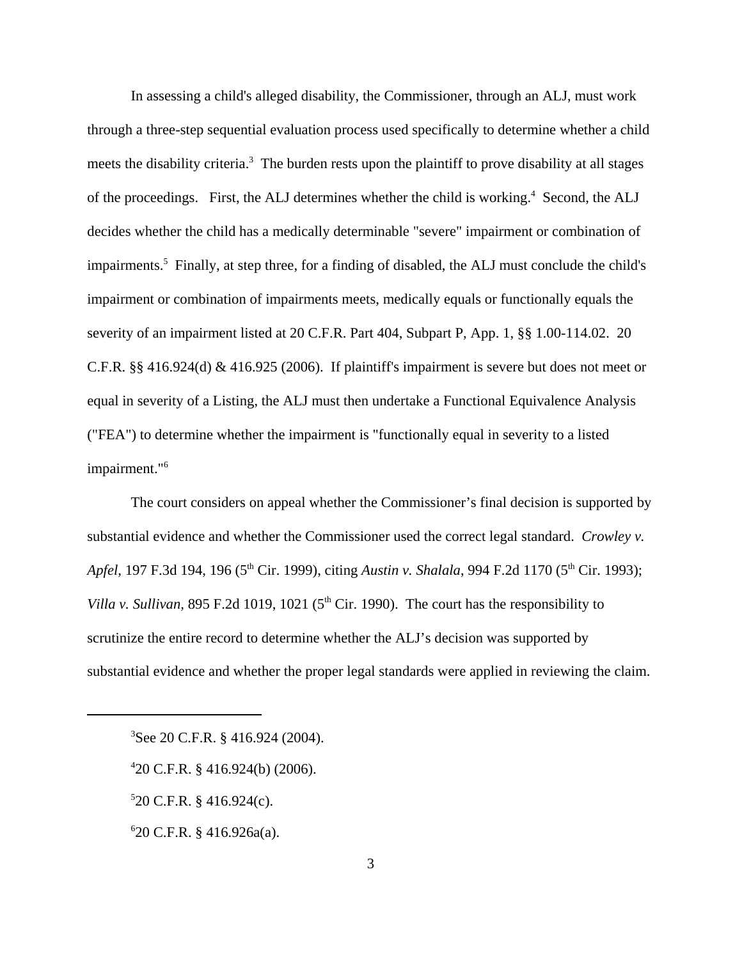In assessing a child's alleged disability, the Commissioner, through an ALJ, must work through a three-step sequential evaluation process used specifically to determine whether a child meets the disability criteria.<sup>3</sup> The burden rests upon the plaintiff to prove disability at all stages of the proceedings. First, the ALJ determines whether the child is working.<sup>4</sup> Second, the ALJ decides whether the child has a medically determinable "severe" impairment or combination of impairments.<sup>5</sup> Finally, at step three, for a finding of disabled, the ALJ must conclude the child's impairment or combination of impairments meets, medically equals or functionally equals the severity of an impairment listed at 20 C.F.R. Part 404, Subpart P, App. 1, §§ 1.00-114.02. 20 C.F.R. §§ 416.924(d) & 416.925 (2006). If plaintiff's impairment is severe but does not meet or equal in severity of a Listing, the ALJ must then undertake a Functional Equivalence Analysis ("FEA") to determine whether the impairment is "functionally equal in severity to a listed impairment."<sup>6</sup>

The court considers on appeal whether the Commissioner's final decision is supported by substantial evidence and whether the Commissioner used the correct legal standard. *Crowley v. Apfel,* 197 F.3d 194, 196 (5<sup>th</sup> Cir. 1999), citing *Austin v. Shalala*, 994 F.2d 1170 (5<sup>th</sup> Cir. 1993); *Villa v. Sullivan,* 895 F.2d 1019, 1021 ( $5<sup>th</sup>$  Cir. 1990). The court has the responsibility to scrutinize the entire record to determine whether the ALJ's decision was supported by substantial evidence and whether the proper legal standards were applied in reviewing the claim.

 $520$  C.F.R. § 416.924(c).

6 20 C.F.R. § 416.926a(a).

<sup>3</sup>See 20 C.F.R. § 416.924 (2004).

<sup>4</sup> 20 C.F.R. § 416.924(b) (2006).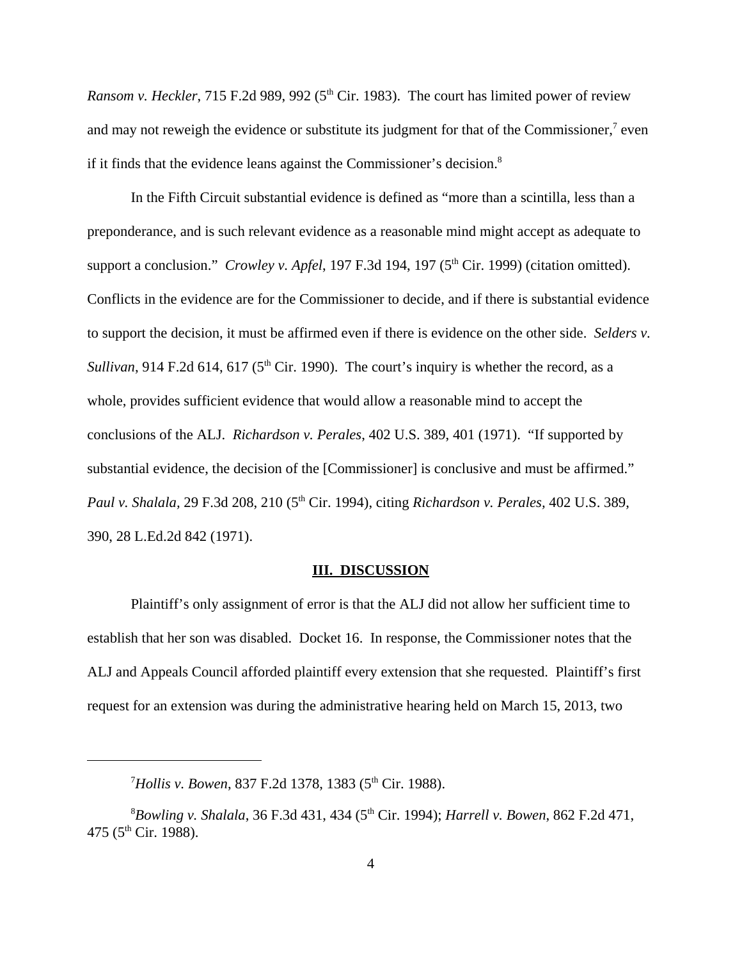*Ransom v. Heckler*, 715 F.2d 989, 992 (5<sup>th</sup> Cir. 1983). The court has limited power of review and may not reweigh the evidence or substitute its judgment for that of the Commissioner, $7$  even if it finds that the evidence leans against the Commissioner's decision.<sup>8</sup>

In the Fifth Circuit substantial evidence is defined as "more than a scintilla, less than a preponderance, and is such relevant evidence as a reasonable mind might accept as adequate to support a conclusion." *Crowley v. Apfel*, 197 F.3d 194, 197 (5<sup>th</sup> Cir. 1999) (citation omitted). Conflicts in the evidence are for the Commissioner to decide, and if there is substantial evidence to support the decision, it must be affirmed even if there is evidence on the other side. *Selders v. Sullivan*, 914 F.2d 614, 617 ( $5<sup>th</sup>$  Cir. 1990). The court's inquiry is whether the record, as a whole, provides sufficient evidence that would allow a reasonable mind to accept the conclusions of the ALJ. *Richardson v. Perales*, 402 U.S. 389, 401 (1971). "If supported by substantial evidence, the decision of the [Commissioner] is conclusive and must be affirmed." *Paul v. Shalala,* 29 F.3d 208, 210 (5th Cir. 1994), citing *Richardson v. Perales,* 402 U.S. 389, 390, 28 L.Ed.2d 842 (1971).

#### **III. DISCUSSION**

Plaintiff's only assignment of error is that the ALJ did not allow her sufficient time to establish that her son was disabled. Docket 16. In response, the Commissioner notes that the ALJ and Appeals Council afforded plaintiff every extension that she requested. Plaintiff's first request for an extension was during the administrative hearing held on March 15, 2013, two

<sup>&</sup>lt;sup>7</sup>Hollis v. Bowen, 837 F.2d 1378, 1383 (5<sup>th</sup> Cir. 1988).

<sup>8</sup>*Bowling v. Shalala*, 36 F.3d 431, 434 (5th Cir. 1994); *Harrell v. Bowen*, 862 F.2d 471, 475 (5<sup>th</sup> Cir. 1988).